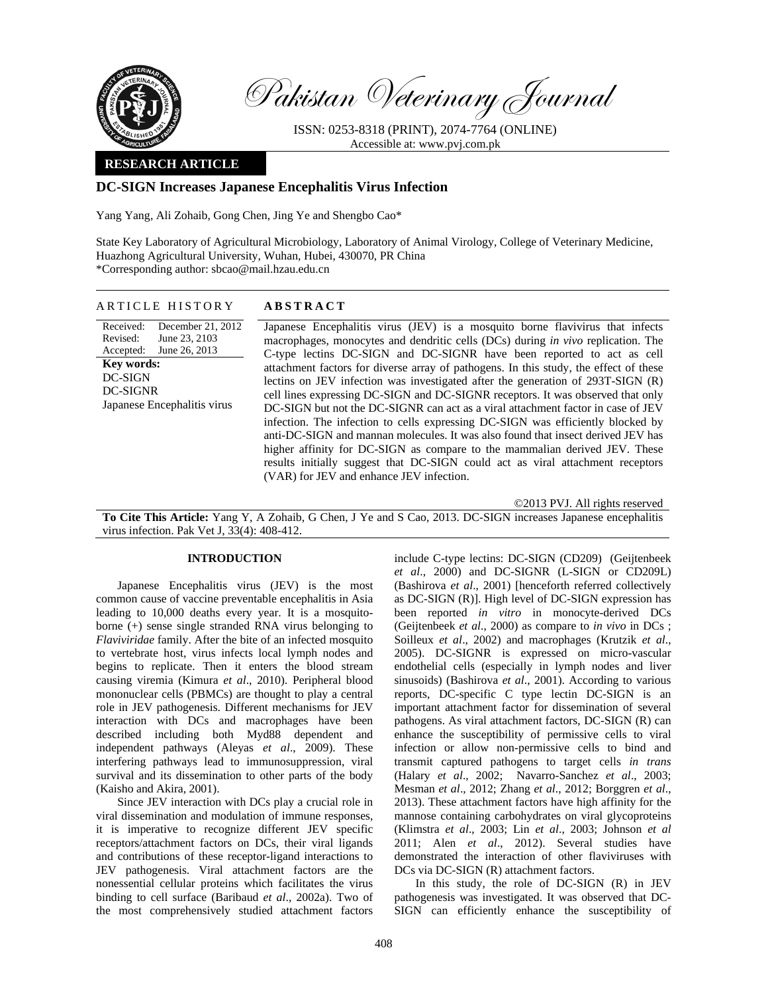

Pakistan Veterinary Journal

ISSN: 0253-8318 (PRINT), 2074-7764 (ONLINE) Accessible at: www.pvj.com.pk

### **RESEARCH ARTICLE**

# **DC-SIGN Increases Japanese Encephalitis Virus Infection**

Yang Yang, Ali Zohaib, Gong Chen, Jing Ye and Shengbo Cao\*

State Key Laboratory of Agricultural Microbiology, Laboratory of Animal Virology, College of Veterinary Medicine, Huazhong Agricultural University, Wuhan, Hubei, 430070, PR China \*Corresponding author: sbcao@mail.hzau.edu.cn

### ARTICLE HISTORY **ABSTRACT**

Received: Revised: Accepted: December 21, 2012 June 23, 2103 June 26, 2013 **Key words:**  DC-SIGN DC-SIGNR Japanese Encephalitis virus

 Japanese Encephalitis virus (JEV) is a mosquito borne flavivirus that infects macrophages, monocytes and dendritic cells (DCs) during *in vivo* replication. The C-type lectins DC-SIGN and DC-SIGNR have been reported to act as cell attachment factors for diverse array of pathogens. In this study, the effect of these lectins on JEV infection was investigated after the generation of 293T-SIGN (R) cell lines expressing DC-SIGN and DC-SIGNR receptors. It was observed that only DC-SIGN but not the DC-SIGNR can act as a viral attachment factor in case of JEV infection. The infection to cells expressing DC-SIGN was efficiently blocked by anti-DC-SIGN and mannan molecules. It was also found that insect derived JEV has higher affinity for DC-SIGN as compare to the mammalian derived JEV. These results initially suggest that DC-SIGN could act as viral attachment receptors (VAR) for JEV and enhance JEV infection.

©2013 PVJ. All rights reserved

**To Cite This Article:** Yang Y, A Zohaib, G Chen, J Ye and S Cao, 2013. DC-SIGN increases Japanese encephalitis virus infection. Pak Vet J, 33(4): 408-412.

## **INTRODUCTION**

Japanese Encephalitis virus (JEV) is the most common cause of vaccine preventable encephalitis in Asia leading to 10,000 deaths every year. It is a mosquitoborne (+) sense single stranded RNA virus belonging to *Flaviviridae* family. After the bite of an infected mosquito to vertebrate host, virus infects local lymph nodes and begins to replicate. Then it enters the blood stream causing viremia (Kimura *et al*., 2010). Peripheral blood mononuclear cells (PBMCs) are thought to play a central role in JEV pathogenesis. Different mechanisms for JEV interaction with DCs and macrophages have been described including both Myd88 dependent and independent pathways (Aleyas *et al*., 2009). These interfering pathways lead to immunosuppression, viral survival and its dissemination to other parts of the body (Kaisho and Akira, 2001).

Since JEV interaction with DCs play a crucial role in viral dissemination and modulation of immune responses, it is imperative to recognize different JEV specific receptors/attachment factors on DCs, their viral ligands and contributions of these receptor-ligand interactions to JEV pathogenesis. Viral attachment factors are the nonessential cellular proteins which facilitates the virus binding to cell surface (Baribaud *et al*., 2002a). Two of the most comprehensively studied attachment factors

include C-type lectins: DC-SIGN (CD209) (Geijtenbeek *et al*., 2000) and DC-SIGNR (L-SIGN or CD209L) (Bashirova *et al*., 2001) [henceforth referred collectively as DC-SIGN (R)]. High level of DC-SIGN expression has been reported *in vitro* in monocyte-derived DCs (Geijtenbeek *et al*., 2000) as compare to *in vivo* in DCs ; Soilleux *et al*., 2002) and macrophages (Krutzik *et al*., 2005). DC-SIGNR is expressed on micro-vascular endothelial cells (especially in lymph nodes and liver sinusoids) (Bashirova *et al*., 2001). According to various reports, DC-specific C type lectin DC-SIGN is an important attachment factor for dissemination of several pathogens. As viral attachment factors, DC-SIGN (R) can enhance the susceptibility of permissive cells to viral infection or allow non-permissive cells to bind and transmit captured pathogens to target cells *in trans* (Halary *et al*., 2002; Navarro-Sanchez *et al*., 2003; Mesman *et al*., 2012; Zhang *et al*., 2012; Borggren *et al*., 2013). These attachment factors have high affinity for the mannose containing carbohydrates on viral glycoproteins (Klimstra *et al*., 2003; Lin *et al*., 2003; Johnson *et al* 2011; Alen *et al*., 2012). Several studies have demonstrated the interaction of other flaviviruses with DCs via DC-SIGN (R) attachment factors.

In this study, the role of DC-SIGN (R) in JEV pathogenesis was investigated. It was observed that DC-SIGN can efficiently enhance the susceptibility of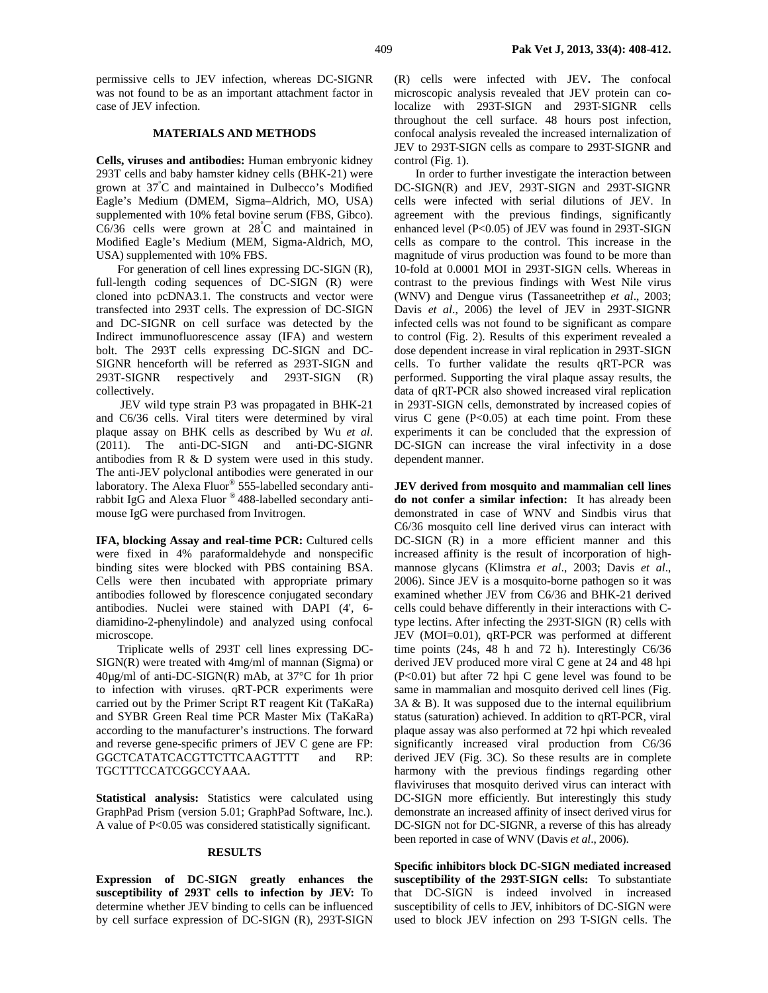permissive cells to JEV infection, whereas DC-SIGNR was not found to be as an important attachment factor in case of JEV infection.

#### **MATERIALS AND METHODS**

**Cells, viruses and antibodies:** Human embryonic kidney 293T cells and baby hamster kidney cells (BHK-21) were grown at 37° C and maintained in Dulbecco's Modified Eagle's Medium (DMEM, Sigma–Aldrich, MO, USA) supplemented with 10% fetal bovine serum (FBS, Gibco).  $C6/36$  cells were grown at  $28^{\circ}$ C and maintained in Modified Eagle's Medium (MEM, Sigma-Aldrich, MO, USA) supplemented with 10% FBS.

For generation of cell lines expressing DC-SIGN (R), full-length coding sequences of DC-SIGN (R) were cloned into pcDNA3.1. The constructs and vector were transfected into 293T cells. The expression of DC-SIGN and DC-SIGNR on cell surface was detected by the Indirect immunofluorescence assay (IFA) and western bolt. The 293T cells expressing DC-SIGN and DC-SIGNR henceforth will be referred as 293T-SIGN and 293T-SIGNR respectively and 293T-SIGN (R) collectively.

 JEV wild type strain P3 was propagated in BHK-21 and C6/36 cells. Viral titers were determined by viral plaque assay on BHK cells as described by Wu *et al*. (2011). The anti-DC-SIGN and anti-DC-SIGNR antibodies from R & D system were used in this study. The anti-JEV polyclonal antibodies were generated in our laboratory. The Alexa Fluor® 555-labelled secondary antirabbit IgG and Alexa Fluor ® 488-labelled secondary antimouse IgG were purchased from Invitrogen.

IFA, blocking Assay and real-time PCR: Cultured cells were fixed in 4% paraformaldehyde and nonspecific binding sites were blocked with PBS containing BSA. Cells were then incubated with appropriate primary antibodies followed by florescence conjugated secondary antibodies. Nuclei were stained with DAPI (4', 6 diamidino-2-phenylindole) and analyzed using confocal microscope.

Triplicate wells of 293T cell lines expressing DC-SIGN(R) were treated with 4mg/ml of mannan (Sigma) or 40µg/ml of anti-DC-SIGN(R) mAb, at 37°C for 1h prior to infection with viruses. qRT-PCR experiments were carried out by the Primer Script RT reagent Kit (TaKaRa) and SYBR Green Real time PCR Master Mix (TaKaRa) according to the manufacturer's instructions. The forward and reverse gene-specific primers of JEV C gene are FP: GGCTCATATCACGTTCTTCAAGTTTT and RP: TGCTTTCCATCGGCCYAAA.

**Statistical analysis:** Statistics were calculated using GraphPad Prism (version 5.01; GraphPad Software, Inc.). A value of P<0.05 was considered statistically significant.

### **RESULTS**

**Expression of DC-SIGN greatly enhances the susceptibility of 293T cells to infection by JEV:** To determine whether JEV binding to cells can be influenced by cell surface expression of DC-SIGN (R), 293T-SIGN

(R) cells were infected with JEV**.** The confocal microscopic analysis revealed that JEV protein can colocalize with 293T-SIGN and 293T-SIGNR cells throughout the cell surface. 48 hours post infection, confocal analysis revealed the increased internalization of JEV to 293T-SIGN cells as compare to 293T-SIGNR and control (Fig. 1).

In order to further investigate the interaction between DC-SIGN(R) and JEV, 293T-SIGN and 293T-SIGNR cells were infected with serial dilutions of JEV. In agreement with the previous findings, significantly enhanced level (P<0.05) of JEV was found in 293T-SIGN cells as compare to the control. This increase in the magnitude of virus production was found to be more than 10-fold at 0.0001 MOI in 293T-SIGN cells. Whereas in contrast to the previous findings with West Nile virus (WNV) and Dengue virus (Tassaneetrithep *et al*., 2003; Davis *et al*., 2006) the level of JEV in 293T-SIGNR infected cells was not found to be significant as compare to control (Fig. 2). Results of this experiment revealed a dose dependent increase in viral replication in 293T-SIGN cells. To further validate the results qRT-PCR was performed. Supporting the viral plaque assay results, the data of qRT-PCR also showed increased viral replication in 293T-SIGN cells, demonstrated by increased copies of virus  $C$  gene (P<0.05) at each time point. From these experiments it can be concluded that the expression of DC-SIGN can increase the viral infectivity in a dose dependent manner.

**JEV derived from mosquito and mammalian cell lines do not confer a similar infection:** It has already been demonstrated in case of WNV and Sindbis virus that C6/36 mosquito cell line derived virus can interact with DC-SIGN (R) in a more efficient manner and this increased affinity is the result of incorporation of highmannose glycans (Klimstra *et al*., 2003; Davis *et al*., 2006). Since JEV is a mosquito-borne pathogen so it was examined whether JEV from C6/36 and BHK-21 derived cells could behave differently in their interactions with Ctype lectins. After infecting the 293T-SIGN (R) cells with JEV (MOI=0.01), qRT-PCR was performed at different time points (24s, 48 h and 72 h). Interestingly C6/36 derived JEV produced more viral C gene at 24 and 48 hpi (P<0.01) but after 72 hpi C gene level was found to be same in mammalian and mosquito derived cell lines (Fig. 3A & B). It was supposed due to the internal equilibrium status (saturation) achieved. In addition to qRT-PCR, viral plaque assay was also performed at 72 hpi which revealed significantly increased viral production from C6/36 derived JEV (Fig. 3C). So these results are in complete harmony with the previous findings regarding other flaviviruses that mosquito derived virus can interact with DC-SIGN more efficiently. But interestingly this study demonstrate an increased affinity of insect derived virus for DC-SIGN not for DC-SIGNR, a reverse of this has already been reported in case of WNV (Davis *et al*., 2006).

**Specific inhibitors block DC-SIGN mediated increased susceptibility of the 293T-SIGN cells:** To substantiate that DC-SIGN is indeed involved in increased susceptibility of cells to JEV, inhibitors of DC-SIGN were used to block JEV infection on 293 T-SIGN cells. The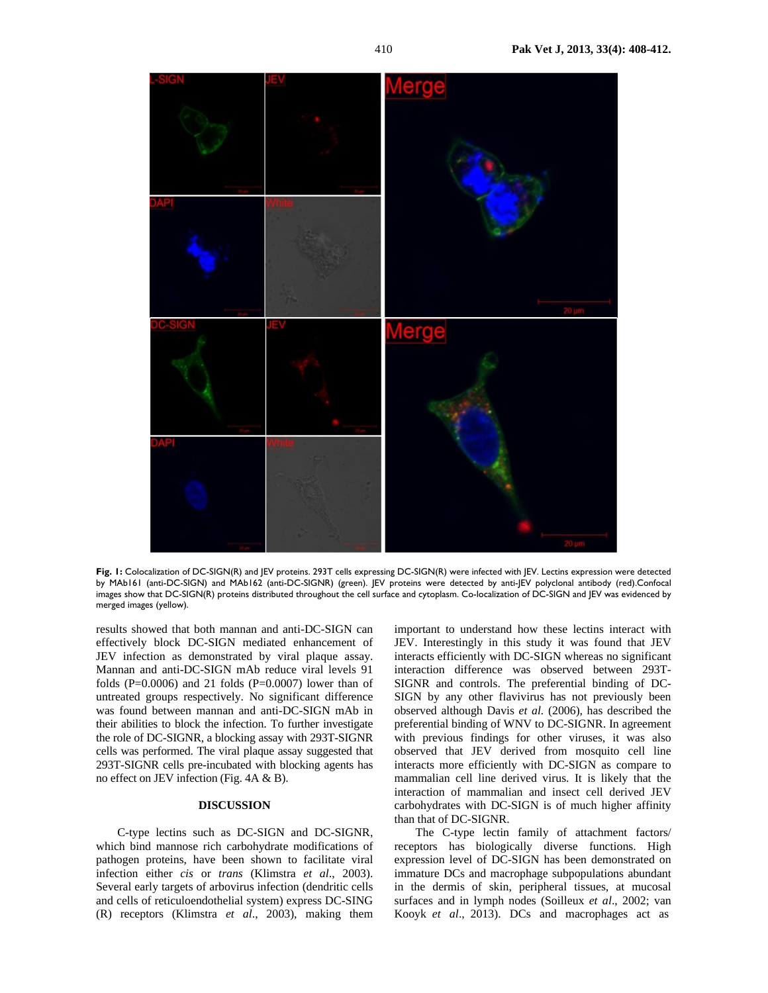

**Fig. 1:** Colocalization of DC-SIGN(R) and JEV proteins. 293T cells expressing DC-SIGN(R) were infected with JEV. Lectins expression were detected by MAb161 (anti-DC-SIGN) and MAb162 (anti-DC-SIGNR) (green). JEV proteins were detected by anti-JEV polyclonal antibody (red).Confocal images show that DC-SIGN(R) proteins distributed throughout the cell surface and cytoplasm. Co-localization of DC-SIGN and JEV was evidenced by merged images (yellow).

results showed that both mannan and anti-DC-SIGN can effectively block DC-SIGN mediated enhancement of JEV infection as demonstrated by viral plaque assay. Mannan and anti-DC-SIGN mAb reduce viral levels 91 folds (P=0.0006) and 21 folds (P=0.0007) lower than of untreated groups respectively. No significant difference was found between mannan and anti-DC-SIGN mAb in their abilities to block the infection. To further investigate the role of DC-SIGNR, a blocking assay with 293T-SIGNR cells was performed. The viral plaque assay suggested that 293T-SIGNR cells pre-incubated with blocking agents has no effect on JEV infection (Fig. 4A & B).

# **DISCUSSION**

C-type lectins such as DC-SIGN and DC-SIGNR, which bind mannose rich carbohydrate modifications of pathogen proteins, have been shown to facilitate viral infection either *cis* or *trans* (Klimstra *et al*., 2003). Several early targets of arbovirus infection (dendritic cells and cells of reticuloendothelial system) express DC-SING (R) receptors (Klimstra *et al*., 2003), making them

important to understand how these lectins interact with JEV. Interestingly in this study it was found that JEV interacts efficiently with DC-SIGN whereas no significant interaction difference was observed between 293T-SIGNR and controls. The preferential binding of DC-SIGN by any other flavivirus has not previously been observed although Davis *et al.* (2006), has described the preferential binding of WNV to DC-SIGNR. In agreement with previous findings for other viruses, it was also observed that JEV derived from mosquito cell line interacts more efficiently with DC-SIGN as compare to mammalian cell line derived virus. It is likely that the interaction of mammalian and insect cell derived JEV carbohydrates with DC-SIGN is of much higher affinity than that of DC-SIGNR.

The C-type lectin family of attachment factors/ receptors has biologically diverse functions. High expression level of DC-SIGN has been demonstrated on immature DCs and macrophage subpopulations abundant in the dermis of skin, peripheral tissues, at mucosal surfaces and in lymph nodes (Soilleux *et al*., 2002; van Kooyk *et al*., 2013). DCs and macrophages act as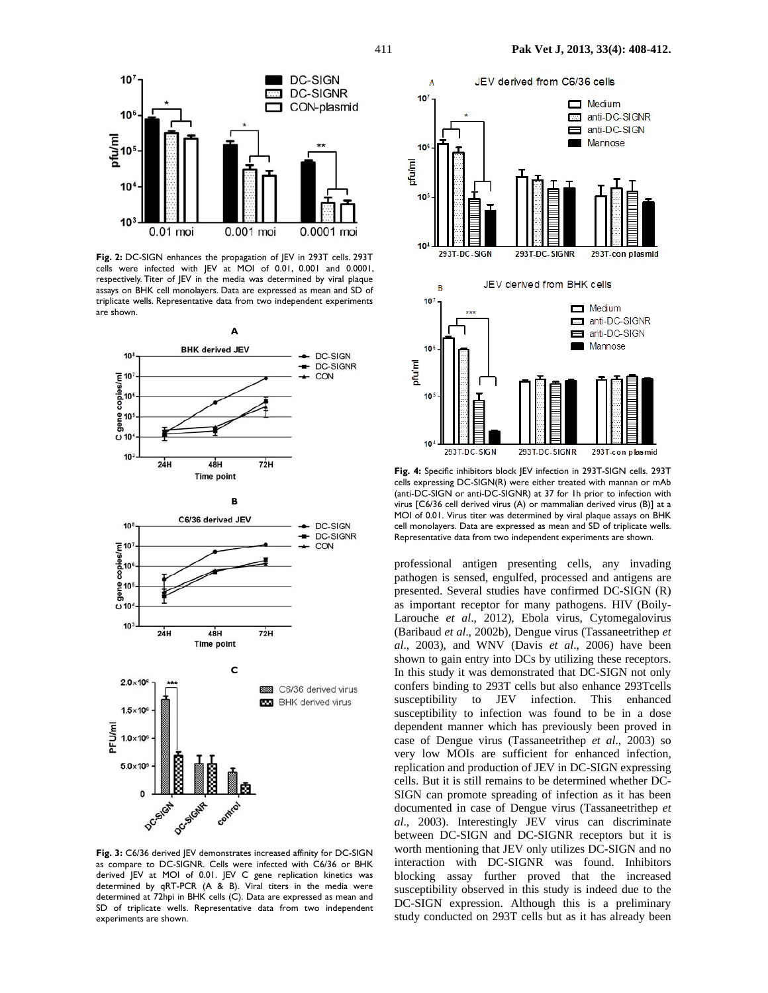

**Fig. 2:** DC-SIGN enhances the propagation of JEV in 293T cells. 293T cells were infected with JEV at MOI of 0.01, 0.001 and 0.0001, respectively. Titer of JEV in the media was determined by viral plaque assays on BHK cell monolayers. Data are expressed as mean and SD of triplicate wells. Representative data from two independent experiments are shown.







**Fig. 3:** C6/36 derived JEV demonstrates increased affinity for DC-SIGN as compare to DC-SIGNR. Cells were infected with C6/36 or BHK derived JEV at MOI of 0.01. JEV C gene replication kinetics was determined by qRT-PCR (A & B). Viral titers in the media were determined at 72hpi in BHK cells (C). Data are expressed as mean and SD of triplicate wells. Representative data from two independent experiments are shown.



**Fig. 4:** Specific inhibitors block JEV infection in 293T-SIGN cells. 293T cells expressing DC-SIGN(R) were either treated with mannan or mAb (anti-DC-SIGN or anti-DC-SIGNR) at 37 for 1h prior to infection with virus [C6/36 cell derived virus (A) or mammalian derived virus (B)] at a MOI of 0.01. Virus titer was determined by viral plaque assays on BHK cell monolayers. Data are expressed as mean and SD of triplicate wells. Representative data from two independent experiments are shown.

professional antigen presenting cells, any invading pathogen is sensed, engulfed, processed and antigens are presented. Several studies have confirmed DC-SIGN (R) as important receptor for many pathogens. HIV (Boily-Larouche *et al*., 2012), Ebola virus, Cytomegalovirus (Baribaud *et al*., 2002b), Dengue virus (Tassaneetrithep *et al*., 2003), and WNV (Davis *et al*., 2006) have been shown to gain entry into DCs by utilizing these receptors. In this study it was demonstrated that DC-SIGN not only confers binding to 293T cells but also enhance 293Tcells susceptibility to JEV infection. This enhanced susceptibility to infection was found to be in a dose dependent manner which has previously been proved in case of Dengue virus (Tassaneetrithep *et al*., 2003) so very low MOIs are sufficient for enhanced infection, replication and production of JEV in DC-SIGN expressing cells. But it is still remains to be determined whether DC-SIGN can promote spreading of infection as it has been documented in case of Dengue virus (Tassaneetrithep *et al*., 2003). Interestingly JEV virus can discriminate between DC-SIGN and DC-SIGNR receptors but it is worth mentioning that JEV only utilizes DC-SIGN and no interaction with DC-SIGNR was found. Inhibitors blocking assay further proved that the increased susceptibility observed in this study is indeed due to the DC-SIGN expression. Although this is a preliminary study conducted on 293T cells but as it has already been